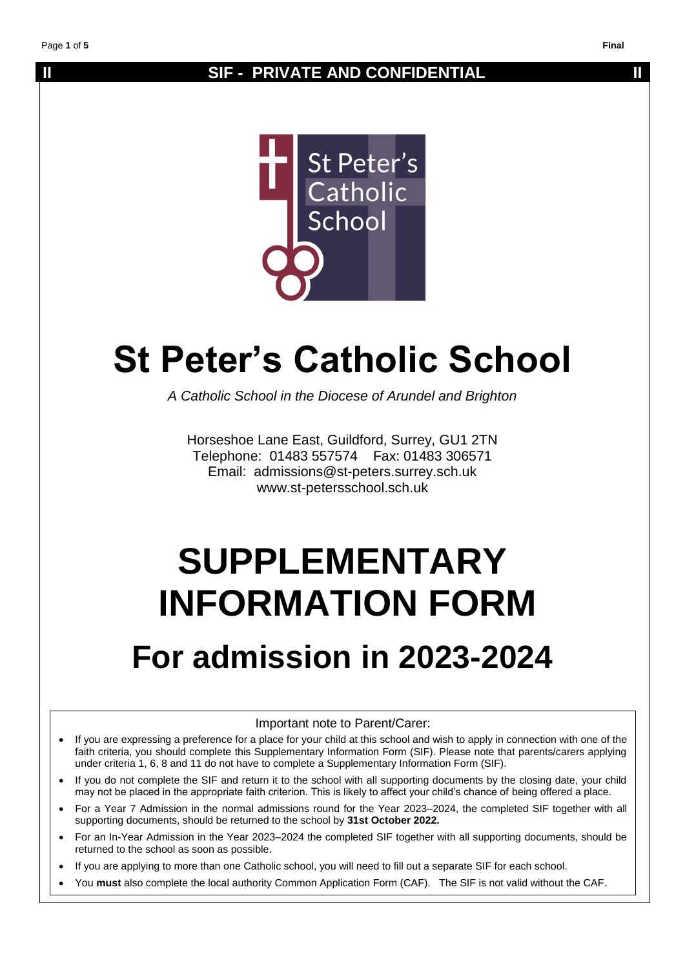## **II** SIF - PRIVATE AND CONFIDENTIAL **II**



# **St Peter's Catholic School**

*A Catholic School in the Diocese of Arundel and Brighton*

Horseshoe Lane East, Guildford, Surrey, GU1 2TN Telephone: 01483 557574 Fax: 01483 306571 Email: admissions@st-peters.surrey.sch.uk www.st-petersschool.sch.uk

# **SUPPLEMENTARY INFORMATION FORM**

## **For admission in 2023-2024**

#### Important note to Parent/Carer:

- If you are expressing a preference for a place for your child at this school and wish to apply in connection with one of the faith criteria, you should complete this Supplementary Information Form (SIF). Please note that parents/carers applying under criteria 1, 6, 8 and 11 do not have to complete a Supplementary Information Form (SIF).
- If you do not complete the SIF and return it to the school with all supporting documents by the closing date, your child may not be placed in the appropriate faith criterion. This is likely to affect your child's chance of being offered a place.
- For a Year 7 Admission in the normal admissions round for the Year 2023–2024, the completed SIF together with all supporting documents, should be returned to the school by **31st October 2022.**
- For an In-Year Admission in the Year 2023–2024 the completed SIF together with all supporting documents, should be returned to the school as soon as possible.
- If you are applying to more than one Catholic school, you will need to fill out a separate SIF for each school.
- You **must** also complete the local authority Common Application Form (CAF). The SIF is not valid without the CAF.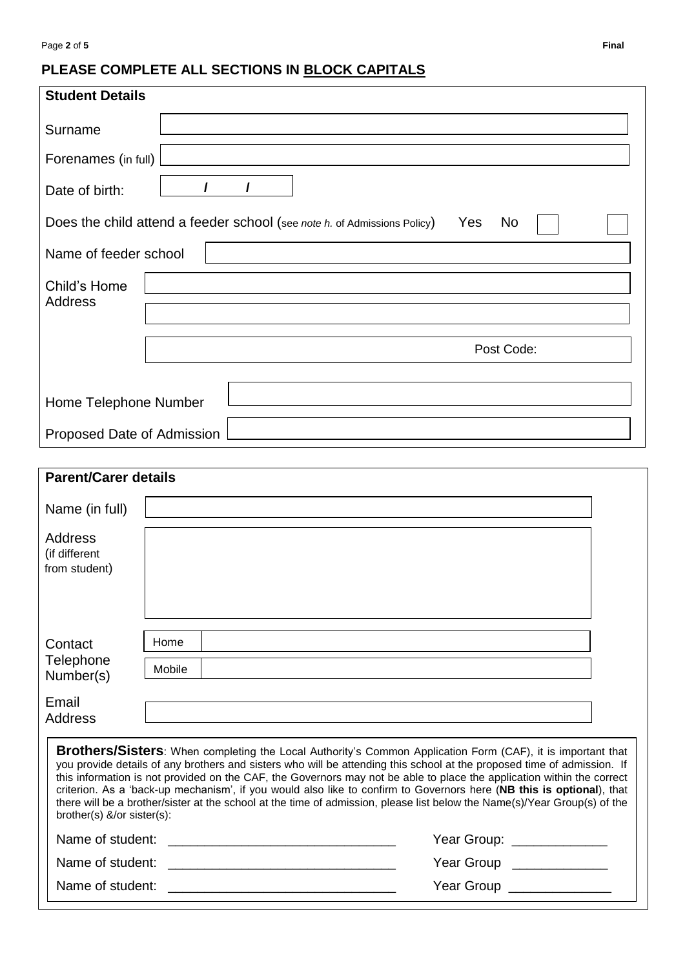### **PLEASE COMPLETE ALL SECTIONS IN BLOCK CAPITALS**

| <b>Student Details</b>                                                                                                                                                                                                                                                                                                                                                                                                                                                                                                                                                                                                                                      |                            |  |  |  |  |
|-------------------------------------------------------------------------------------------------------------------------------------------------------------------------------------------------------------------------------------------------------------------------------------------------------------------------------------------------------------------------------------------------------------------------------------------------------------------------------------------------------------------------------------------------------------------------------------------------------------------------------------------------------------|----------------------------|--|--|--|--|
| Surname                                                                                                                                                                                                                                                                                                                                                                                                                                                                                                                                                                                                                                                     |                            |  |  |  |  |
| Forenames (in full)                                                                                                                                                                                                                                                                                                                                                                                                                                                                                                                                                                                                                                         |                            |  |  |  |  |
|                                                                                                                                                                                                                                                                                                                                                                                                                                                                                                                                                                                                                                                             | 1<br>$\prime$              |  |  |  |  |
| Date of birth:                                                                                                                                                                                                                                                                                                                                                                                                                                                                                                                                                                                                                                              |                            |  |  |  |  |
| Does the child attend a feeder school (see note h. of Admissions Policy)<br>Yes<br><b>No</b>                                                                                                                                                                                                                                                                                                                                                                                                                                                                                                                                                                |                            |  |  |  |  |
| Name of feeder school                                                                                                                                                                                                                                                                                                                                                                                                                                                                                                                                                                                                                                       |                            |  |  |  |  |
| Child's Home                                                                                                                                                                                                                                                                                                                                                                                                                                                                                                                                                                                                                                                |                            |  |  |  |  |
| Address                                                                                                                                                                                                                                                                                                                                                                                                                                                                                                                                                                                                                                                     |                            |  |  |  |  |
|                                                                                                                                                                                                                                                                                                                                                                                                                                                                                                                                                                                                                                                             |                            |  |  |  |  |
|                                                                                                                                                                                                                                                                                                                                                                                                                                                                                                                                                                                                                                                             | Post Code:                 |  |  |  |  |
|                                                                                                                                                                                                                                                                                                                                                                                                                                                                                                                                                                                                                                                             |                            |  |  |  |  |
| Home Telephone Number                                                                                                                                                                                                                                                                                                                                                                                                                                                                                                                                                                                                                                       |                            |  |  |  |  |
| Proposed Date of Admission                                                                                                                                                                                                                                                                                                                                                                                                                                                                                                                                                                                                                                  |                            |  |  |  |  |
| <b>Parent/Carer details</b>                                                                                                                                                                                                                                                                                                                                                                                                                                                                                                                                                                                                                                 |                            |  |  |  |  |
|                                                                                                                                                                                                                                                                                                                                                                                                                                                                                                                                                                                                                                                             |                            |  |  |  |  |
| Name (in full)                                                                                                                                                                                                                                                                                                                                                                                                                                                                                                                                                                                                                                              |                            |  |  |  |  |
| <b>Address</b><br>(if different                                                                                                                                                                                                                                                                                                                                                                                                                                                                                                                                                                                                                             |                            |  |  |  |  |
| from student)                                                                                                                                                                                                                                                                                                                                                                                                                                                                                                                                                                                                                                               |                            |  |  |  |  |
|                                                                                                                                                                                                                                                                                                                                                                                                                                                                                                                                                                                                                                                             |                            |  |  |  |  |
|                                                                                                                                                                                                                                                                                                                                                                                                                                                                                                                                                                                                                                                             |                            |  |  |  |  |
| Contact<br>Telephone                                                                                                                                                                                                                                                                                                                                                                                                                                                                                                                                                                                                                                        | Home                       |  |  |  |  |
| Number(s)                                                                                                                                                                                                                                                                                                                                                                                                                                                                                                                                                                                                                                                   | Mobile                     |  |  |  |  |
| Email                                                                                                                                                                                                                                                                                                                                                                                                                                                                                                                                                                                                                                                       |                            |  |  |  |  |
| <b>Address</b>                                                                                                                                                                                                                                                                                                                                                                                                                                                                                                                                                                                                                                              |                            |  |  |  |  |
| <b>Brothers/Sisters</b> : When completing the Local Authority's Common Application Form (CAF), it is important that<br>you provide details of any brothers and sisters who will be attending this school at the proposed time of admission. If<br>this information is not provided on the CAF, the Governors may not be able to place the application within the correct<br>criterion. As a 'back-up mechanism', if you would also like to confirm to Governors here (NB this is optional), that<br>there will be a brother/sister at the school at the time of admission, please list below the Name(s)/Year Group(s) of the<br>brother(s) &/or sister(s): |                            |  |  |  |  |
| Name of student:                                                                                                                                                                                                                                                                                                                                                                                                                                                                                                                                                                                                                                            | Year Group: ______________ |  |  |  |  |
| Name of student:                                                                                                                                                                                                                                                                                                                                                                                                                                                                                                                                                                                                                                            | Year Group                 |  |  |  |  |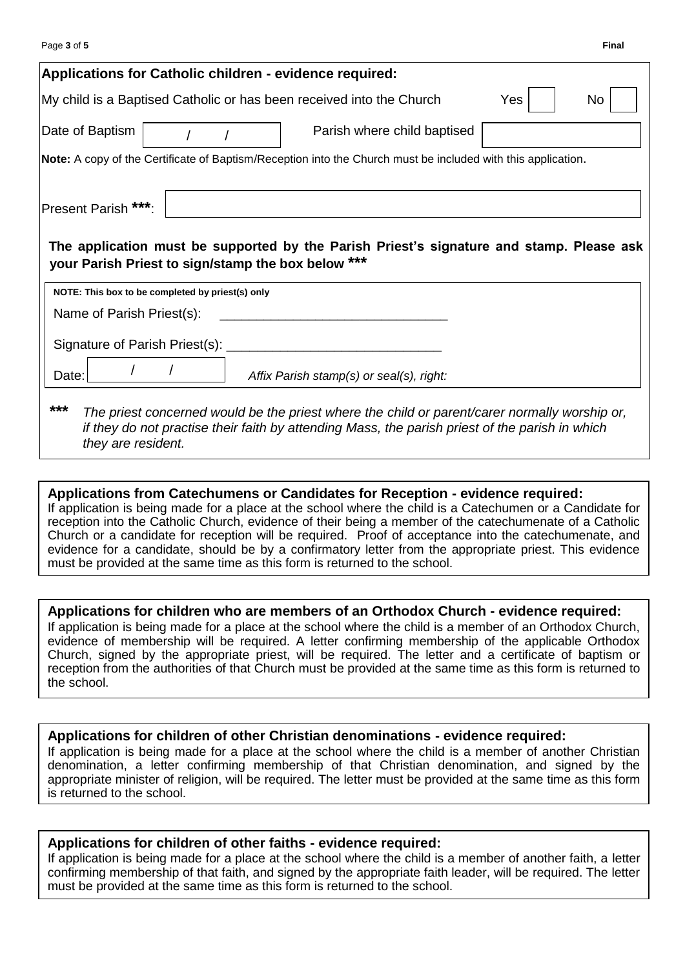| Page 3 of 5                                      |                                                                                                                                                                                                  |     | <b>Final</b> |
|--------------------------------------------------|--------------------------------------------------------------------------------------------------------------------------------------------------------------------------------------------------|-----|--------------|
|                                                  | Applications for Catholic children - evidence required:                                                                                                                                          |     |              |
|                                                  | My child is a Baptised Catholic or has been received into the Church                                                                                                                             | Yes | No           |
| Date of Baptism                                  | Parish where child baptised                                                                                                                                                                      |     |              |
|                                                  | Note: A copy of the Certificate of Baptism/Reception into the Church must be included with this application.                                                                                     |     |              |
| Present Parish ***:                              |                                                                                                                                                                                                  |     |              |
|                                                  | The application must be supported by the Parish Priest's signature and stamp. Please ask<br>your Parish Priest to sign/stamp the box below ***                                                   |     |              |
| NOTE: This box to be completed by priest(s) only |                                                                                                                                                                                                  |     |              |
| Name of Parish Priest(s):                        |                                                                                                                                                                                                  |     |              |
| Signature of Parish Priest(s): ________          |                                                                                                                                                                                                  |     |              |
| Date:                                            | Affix Parish stamp(s) or seal(s), right:                                                                                                                                                         |     |              |
| ***<br>they are resident.                        | The priest concerned would be the priest where the child or parent/carer normally worship or,<br>if they do not practise their faith by attending Mass, the parish priest of the parish in which |     |              |

#### **Applications from Catechumens or Candidates for Reception - evidence required:** If application is being made for a place at the school where the child is a Catechumen or a Candidate for

reception into the Catholic Church, evidence of their being a member of the catechumenate of a Catholic Church or a candidate for reception will be required. Proof of acceptance into the catechumenate, and evidence for a candidate, should be by a confirmatory letter from the appropriate priest. This evidence must be provided at the same time as this form is returned to the school.

#### **Applications for children who are members of an Orthodox Church - evidence required:**

If application is being made for a place at the school where the child is a member of an Orthodox Church, evidence of membership will be required. A letter confirming membership of the applicable Orthodox Church, signed by the appropriate priest, will be required. The letter and a certificate of baptism or reception from the authorities of that Church must be provided at the same time as this form is returned to the school.

#### **Applications for children of other Christian denominations - evidence required:**

If application is being made for a place at the school where the child is a member of another Christian denomination, a letter confirming membership of that Christian denomination, and signed by the appropriate minister of religion, will be required. The letter must be provided at the same time as this form is returned to the school.

#### **Applications for children of other faiths - evidence required:**

If application is being made for a place at the school where the child is a member of another faith, a letter confirming membership of that faith, and signed by the appropriate faith leader, will be required. The letter must be provided at the same time as this form is returned to the school.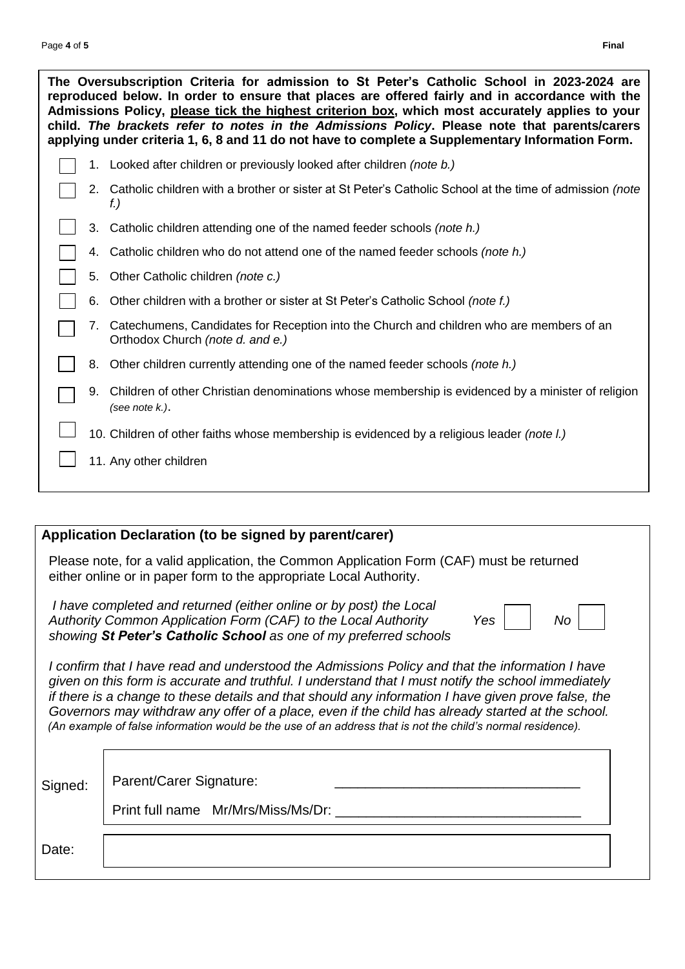|  | The Oversubscription Criteria for admission to St Peter's Catholic School in 2023-2024 are<br>reproduced below. In order to ensure that places are offered fairly and in accordance with the<br>Admissions Policy, please tick the highest criterion box, which most accurately applies to your<br>child. The brackets refer to notes in the Admissions Policy. Please note that parents/carers<br>applying under criteria 1, 6, 8 and 11 do not have to complete a Supplementary Information Form. |
|--|-----------------------------------------------------------------------------------------------------------------------------------------------------------------------------------------------------------------------------------------------------------------------------------------------------------------------------------------------------------------------------------------------------------------------------------------------------------------------------------------------------|
|  | 1. Looked after children or previously looked after children (note b.)                                                                                                                                                                                                                                                                                                                                                                                                                              |
|  | 2. Catholic children with a brother or sister at St Peter's Catholic School at the time of admission (note<br>t.)                                                                                                                                                                                                                                                                                                                                                                                   |
|  | 3. Catholic children attending one of the named feeder schools (note h.)                                                                                                                                                                                                                                                                                                                                                                                                                            |
|  | 4. Catholic children who do not attend one of the named feeder schools (note h.)                                                                                                                                                                                                                                                                                                                                                                                                                    |
|  | 5. Other Catholic children (note c.)                                                                                                                                                                                                                                                                                                                                                                                                                                                                |
|  | 6. Other children with a brother or sister at St Peter's Catholic School (note f.)                                                                                                                                                                                                                                                                                                                                                                                                                  |

- 7. Catechumens, Candidates for Reception into the Church and children who are members of an Orthodox Church *(note d. and e.)*
- 8. Other children currently attending one of the named feeder schools *(note h.)*
- 9. Children of other Christian denominations whose membership is evidenced by a minister of religion *(see note k.)*.
- 10. Children of other faiths whose membership is evidenced by a religious leader *(note l.)*
- 11. Any other children

#### **Application Declaration (to be signed by parent/carer)**

 Please note, for a valid application, the Common Application Form (CAF) must be returned either online or in paper form to the appropriate Local Authority.

 *I have completed and returned (either online or by post) the Local* Authority Common Application Form (CAF) to the Local Authority Yes  *showing St Peter's Catholic School as one of my preferred schools* 

| - | Nο<br>- |
|---|---------|
|---|---------|

*I* confirm that I have read and understood the Admissions Policy and that the *information I have given on this form is accurate and truthful. I understand that I must notify the school immediately if there is a change to these details and that should any information I have given prove false, the Governors may withdraw any offer of a place, even if the child has already started at the school. (An example of false information would be the use of an address that is not the child's normal residence).*

Signed: Parent/Carer Signature: Print full name Mr/Mrs/Miss/Ms/Dr: …………………………….……………………………

Date: